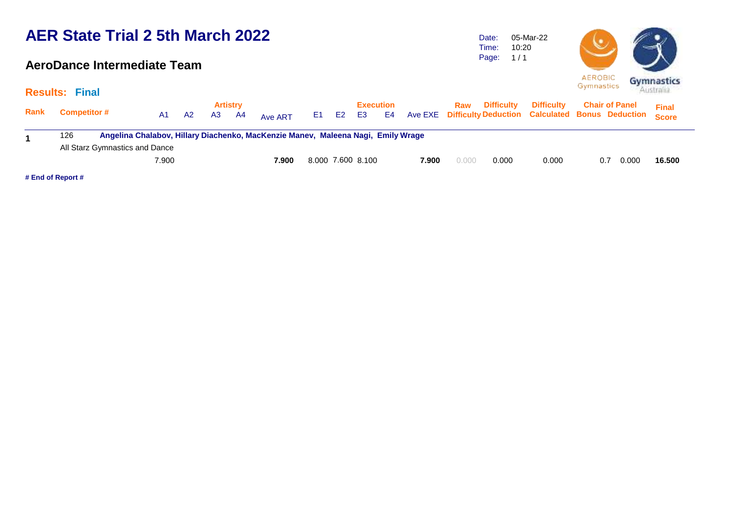### **AeroDance Intermediate Team**

Time: Page: 10:20  $1/1$ 

05-Mar-22

Date:



|      | <b>Results: Final</b>          |                                                                                  |                      |                        |         |          |                   |                 |       |       |                       |                   | Australian                                                                             |              |
|------|--------------------------------|----------------------------------------------------------------------------------|----------------------|------------------------|---------|----------|-------------------|-----------------|-------|-------|-----------------------|-------------------|----------------------------------------------------------------------------------------|--------------|
| Rank | <b>Competitor #</b>            | A1.                                                                              | A3<br>A <sub>2</sub> | <b>Artistry</b><br>-A4 | Ave ART | E1 E2 E3 |                   | Execution<br>E4 |       |       | <b>Raw</b> Difficulty | <b>Difficulty</b> | <b>Chair of Panel</b><br>Ave EXE Difficulty Deduction Calculated Bonus Deduction Score | <b>Final</b> |
|      | 126                            | Angelina Chalabov, Hillary Diachenko, MacKenzie Manev, Maleena Nagi, Emily Wrage |                      |                        |         |          |                   |                 |       |       |                       |                   |                                                                                        |              |
|      | All Starz Gymnastics and Dance |                                                                                  |                      |                        |         |          |                   |                 |       |       |                       |                   |                                                                                        |              |
|      |                                | 7.900                                                                            |                      |                        | 7.900   |          | 8.000 7.600 8.100 |                 | 7.900 | 0.000 | 0.000                 | 0.000             | 0.000<br>0.7                                                                           | 16.500       |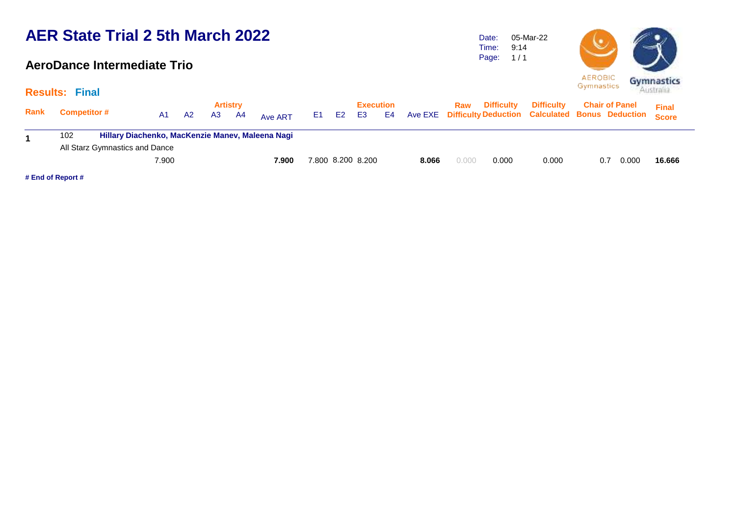### **AeroDance Intermediate Trio**

**Results: Final**

Date: Time: Page: 05-Mar-22 9:14  $1/1$ 



|             | $110001100.$ $11101$           |       |    |    |                        |                                                  |       |                               |    |       |       |                       |                                                                                    |     |                       |              |  |
|-------------|--------------------------------|-------|----|----|------------------------|--------------------------------------------------|-------|-------------------------------|----|-------|-------|-----------------------|------------------------------------------------------------------------------------|-----|-----------------------|--------------|--|
| <b>Rank</b> | <b>Competitor #</b>            | A1    | A2 | A3 | <b>Artistry</b><br>-A4 | Ave ART                                          | E1 E2 | <b>Execution</b><br><b>E3</b> | E4 |       |       | <b>Raw</b> Difficulty | <b>Difficulty</b><br>Ave EXE Difficulty Deduction Calculated Bonus Deduction Score |     | <b>Chair of Panel</b> | <b>Final</b> |  |
|             |                                |       |    |    |                        |                                                  |       |                               |    |       |       |                       |                                                                                    |     |                       |              |  |
|             | 102                            |       |    |    |                        | Hillary Diachenko, MacKenzie Manev, Maleena Nagi |       |                               |    |       |       |                       |                                                                                    |     |                       |              |  |
|             | All Starz Gymnastics and Dance |       |    |    |                        |                                                  |       |                               |    |       |       |                       |                                                                                    |     |                       |              |  |
|             |                                | 7.900 |    |    |                        | 7.900                                            |       | 7.800 8.200 8.200             |    | 8.066 | 0.000 | 0.000                 | 0.000                                                                              | 0.7 | 0.000                 | 16.666       |  |
|             |                                |       |    |    |                        |                                                  |       |                               |    |       |       |                       |                                                                                    |     |                       |              |  |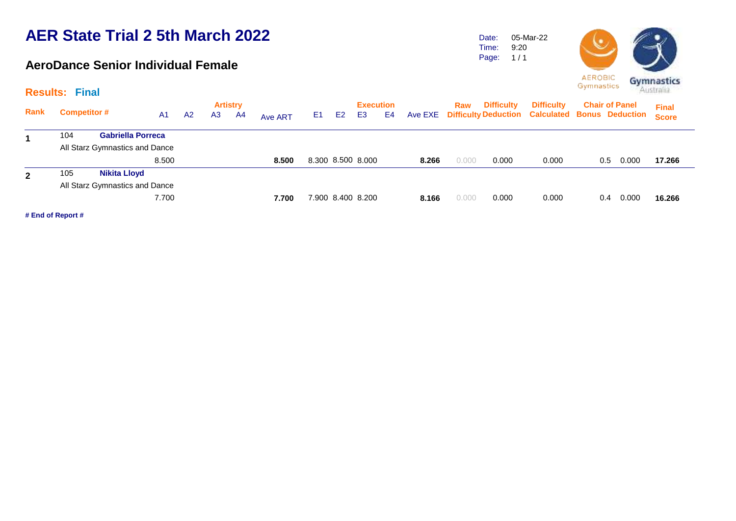### **AeroDance Senior Individual Female**

Date: Time: 05-Mar-22 9:20

Page:  $1/1$ 



|              |     |                                |                |    | <b>Artistry</b> |    |                |     |    | <b>Execution</b>  |    |         | Raw   | <b>Difficulty</b> | <b>Difficulty</b>                                      |     | <b>Chair of Panel</b> | <b>Final</b> |
|--------------|-----|--------------------------------|----------------|----|-----------------|----|----------------|-----|----|-------------------|----|---------|-------|-------------------|--------------------------------------------------------|-----|-----------------------|--------------|
| Rank         |     | <b>Competitor #</b>            | A <sub>1</sub> | A2 | A <sub>3</sub>  | A4 | <b>Ave ART</b> | E1. | E2 | E3                | E4 | Ave EXE |       |                   | <b>Difficulty Deduction Calculated Bonus Deduction</b> |     |                       | <b>Score</b> |
| 1            | 104 | <b>Gabriella Porreca</b>       |                |    |                 |    |                |     |    |                   |    |         |       |                   |                                                        |     |                       |              |
|              |     | All Starz Gymnastics and Dance |                |    |                 |    |                |     |    |                   |    |         |       |                   |                                                        |     |                       |              |
|              |     |                                | 8.500          |    |                 |    | 8.500          |     |    | 8.300 8.500 8.000 |    | 8.266   | 0.000 | 0.000             | 0.000                                                  | 0.5 | 0.000                 | 17.266       |
| $\mathbf{2}$ | 105 | <b>Nikita Lloyd</b>            |                |    |                 |    |                |     |    |                   |    |         |       |                   |                                                        |     |                       |              |
|              |     | All Starz Gymnastics and Dance |                |    |                 |    |                |     |    |                   |    |         |       |                   |                                                        |     |                       |              |
|              |     |                                | 7.700          |    |                 |    | 7.700          |     |    | 7.900 8.400 8.200 |    | 8.166   | 0.000 | 0.000             | 0.000                                                  | 0.4 | 0.000                 | 16.266       |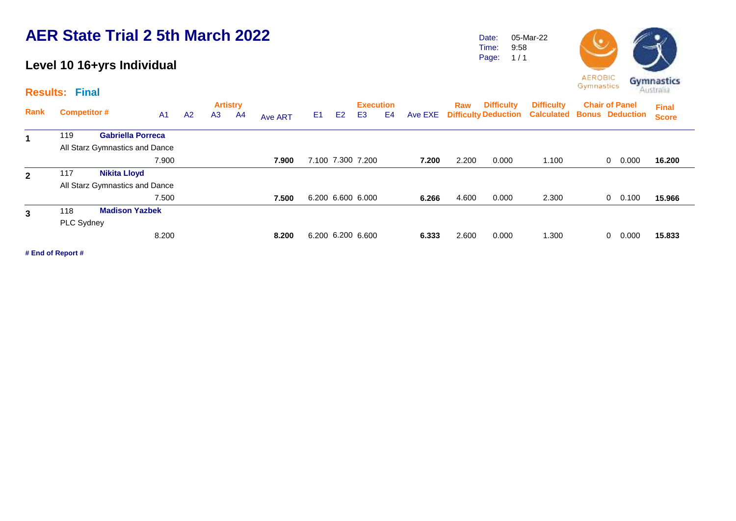## **Level 10 16+yrs Individual**

**Results: Final**

Time: Page: 9:58  $1/1$ 

Date:

05-Mar-22



| Rank         | <b>Competitor #</b> |                                |                |                | <b>Artistry</b> |    |                |                |    | <b>Execution</b>  |    |         | Raw   | <b>Difficulty</b> | <b>Difficulty</b>                                      | <b>Chair of Panel</b> | <b>Final</b> |
|--------------|---------------------|--------------------------------|----------------|----------------|-----------------|----|----------------|----------------|----|-------------------|----|---------|-------|-------------------|--------------------------------------------------------|-----------------------|--------------|
|              |                     |                                | A <sub>1</sub> | A <sub>2</sub> | A <sub>3</sub>  | A4 | <b>Ave ART</b> | E <sub>1</sub> | E2 | E3                | E4 | Ave EXE |       |                   | <b>Difficulty Deduction Calculated Bonus Deduction</b> |                       | <b>Score</b> |
| 1            | 119                 | <b>Gabriella Porreca</b>       |                |                |                 |    |                |                |    |                   |    |         |       |                   |                                                        |                       |              |
|              |                     | All Starz Gymnastics and Dance |                |                |                 |    |                |                |    |                   |    |         |       |                   |                                                        |                       |              |
|              |                     |                                | 7.900          |                |                 |    | 7.900          |                |    | 7.100 7.300 7.200 |    | 7.200   | 2.200 | 0.000             | 1.100                                                  | 0.000<br>0            | 16.200       |
| $\mathbf{2}$ | 117                 | <b>Nikita Lloyd</b>            |                |                |                 |    |                |                |    |                   |    |         |       |                   |                                                        |                       |              |
|              |                     | All Starz Gymnastics and Dance |                |                |                 |    |                |                |    |                   |    |         |       |                   |                                                        |                       |              |
|              |                     |                                | 7.500          |                |                 |    | 7.500          |                |    | 6.200 6.600 6.000 |    | 6.266   | 4.600 | 0.000             | 2.300                                                  | 0.100<br>$\mathbf{0}$ | 15.966       |
| 3            | 118                 | <b>Madison Yazbek</b>          |                |                |                 |    |                |                |    |                   |    |         |       |                   |                                                        |                       |              |
|              | PLC Sydney          |                                |                |                |                 |    |                |                |    |                   |    |         |       |                   |                                                        |                       |              |
|              |                     |                                | 8.200          |                |                 |    | 8.200          |                |    | 6.200 6.200 6.600 |    | 6.333   | 2.600 | 0.000             | 1.300                                                  | 0.000<br>$\Omega$     | 15,833       |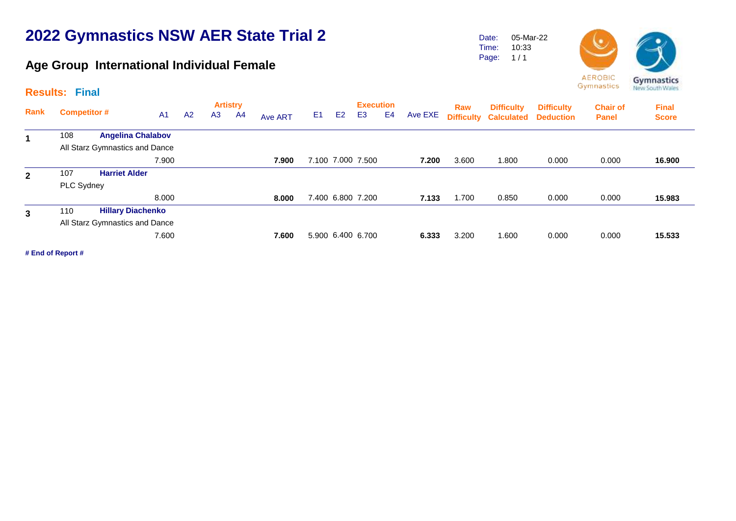# **2022 Gymnastics NSW AER State Trial 2**

## **Age Group International Individual Female**

Date: Time: 05-Mar-22 10:33

Page:  $1/1$ 



**AEROBIC** Gymnastics

| <b>Results:</b> |                     | <b>Final</b>                   |                |    |                |                       |         |                |                |                                    |    |         |                          |                   |                                                  |                                 | <b>MEM SOCHT LEBRO</b>       |
|-----------------|---------------------|--------------------------------|----------------|----|----------------|-----------------------|---------|----------------|----------------|------------------------------------|----|---------|--------------------------|-------------------|--------------------------------------------------|---------------------------------|------------------------------|
| Rank            | <b>Competitor #</b> |                                | A <sub>1</sub> | A2 | A <sub>3</sub> | <b>Artistry</b><br>A4 | Ave ART | E <sub>1</sub> | E <sub>2</sub> | <b>Execution</b><br>E <sub>3</sub> | E4 | Ave EXE | Raw<br><b>Difficulty</b> | <b>Difficulty</b> | <b>Difficulty</b><br><b>Calculated Deduction</b> | <b>Chair of</b><br><b>Panel</b> | <b>Final</b><br><b>Score</b> |
| 1               | 108                 | <b>Angelina Chalabov</b>       |                |    |                |                       |         |                |                |                                    |    |         |                          |                   |                                                  |                                 |                              |
|                 |                     | All Starz Gymnastics and Dance |                |    |                |                       |         |                |                |                                    |    |         |                          |                   |                                                  |                                 |                              |
|                 |                     |                                | 7.900          |    |                |                       | 7.900   |                |                | 7.100 7.000 7.500                  |    | 7.200   | 3.600                    | 1.800             | 0.000                                            | 0.000                           | 16.900                       |
| $\mathbf{2}$    | 107                 | <b>Harriet Alder</b>           |                |    |                |                       |         |                |                |                                    |    |         |                          |                   |                                                  |                                 |                              |
|                 | PLC Sydney          |                                |                |    |                |                       |         |                |                |                                    |    |         |                          |                   |                                                  |                                 |                              |
|                 |                     |                                | 8.000          |    |                |                       | 8.000   |                |                | 7.400 6.800 7.200                  |    | 7.133   | 1.700                    | 0.850             | 0.000                                            | 0.000                           | 15.983                       |
| $\mathbf{3}$    | 110                 | <b>Hillary Diachenko</b>       |                |    |                |                       |         |                |                |                                    |    |         |                          |                   |                                                  |                                 |                              |
|                 |                     | All Starz Gymnastics and Dance |                |    |                |                       |         |                |                |                                    |    |         |                          |                   |                                                  |                                 |                              |
|                 |                     |                                | 7.600          |    |                |                       | 7.600   |                |                | 5.900 6.400 6.700                  |    | 6.333   | 3.200                    | 1.600             | 0.000                                            | 0.000                           | 15.533                       |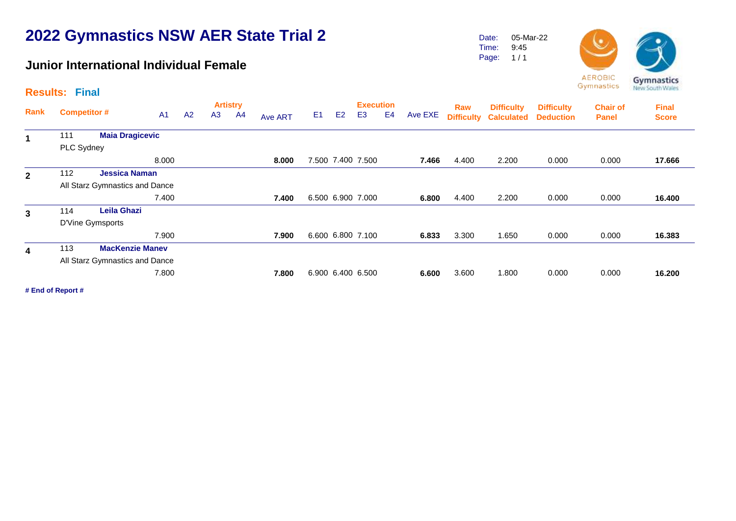# **2022 Gymnastics NSW AER State Trial 2**

### **Junior International Individual Female**

Date: 05-Mar-22 9:45

Time: Page:  $1/1$ 



**AEROBIC** Gymnastics

|                | <b>Results: Final</b> |                                |                |    |                |                       |                |                |                |                                    |                |         |                          |                                        |                                       |                                 | <b>MEM SOCHT LEBER</b>       |
|----------------|-----------------------|--------------------------------|----------------|----|----------------|-----------------------|----------------|----------------|----------------|------------------------------------|----------------|---------|--------------------------|----------------------------------------|---------------------------------------|---------------------------------|------------------------------|
| <b>Rank</b>    | <b>Competitor #</b>   |                                | A <sub>1</sub> | A2 | A <sub>3</sub> | <b>Artistry</b><br>A4 | <b>Ave ART</b> | E <sub>1</sub> | E <sub>2</sub> | <b>Execution</b><br>E <sub>3</sub> | E <sub>4</sub> | Ave EXE | Raw<br><b>Difficulty</b> | <b>Difficulty</b><br><b>Calculated</b> | <b>Difficulty</b><br><b>Deduction</b> | <b>Chair of</b><br><b>Panel</b> | <b>Final</b><br><b>Score</b> |
|                | 111                   | <b>Maia Dragicevic</b>         |                |    |                |                       |                |                |                |                                    |                |         |                          |                                        |                                       |                                 |                              |
|                | PLC Sydney            |                                |                |    |                |                       |                |                |                |                                    |                |         |                          |                                        |                                       |                                 |                              |
|                |                       |                                | 8.000          |    |                |                       | 8.000          |                |                | 7.500 7.400 7.500                  |                | 7.466   | 4.400                    | 2.200                                  | 0.000                                 | 0.000                           | 17.666                       |
| $\overline{2}$ | 112                   | <b>Jessica Naman</b>           |                |    |                |                       |                |                |                |                                    |                |         |                          |                                        |                                       |                                 |                              |
|                |                       | All Starz Gymnastics and Dance |                |    |                |                       |                |                |                |                                    |                |         |                          |                                        |                                       |                                 |                              |
|                |                       |                                | 7.400          |    |                |                       | 7.400          |                |                | 6.500 6.900 7.000                  |                | 6.800   | 4.400                    | 2.200                                  | 0.000                                 | 0.000                           | 16.400                       |
| 3              | 114                   | <b>Leila Ghazi</b>             |                |    |                |                       |                |                |                |                                    |                |         |                          |                                        |                                       |                                 |                              |
|                |                       | D'Vine Gymsports               |                |    |                |                       |                |                |                |                                    |                |         |                          |                                        |                                       |                                 |                              |
|                |                       |                                | 7.900          |    |                |                       | 7.900          |                |                | 6.600 6.800 7.100                  |                | 6.833   | 3.300                    | 1.650                                  | 0.000                                 | 0.000                           | 16.383                       |
| 4              | 113                   | <b>MacKenzie Manev</b>         |                |    |                |                       |                |                |                |                                    |                |         |                          |                                        |                                       |                                 |                              |
|                |                       | All Starz Gymnastics and Dance |                |    |                |                       |                |                |                |                                    |                |         |                          |                                        |                                       |                                 |                              |
|                |                       |                                | 7.800          |    |                |                       | 7.800          |                |                | 6.900 6.400 6.500                  |                | 6.600   | 3.600                    | 1.800                                  | 0.000                                 | 0.000                           | 16.200                       |